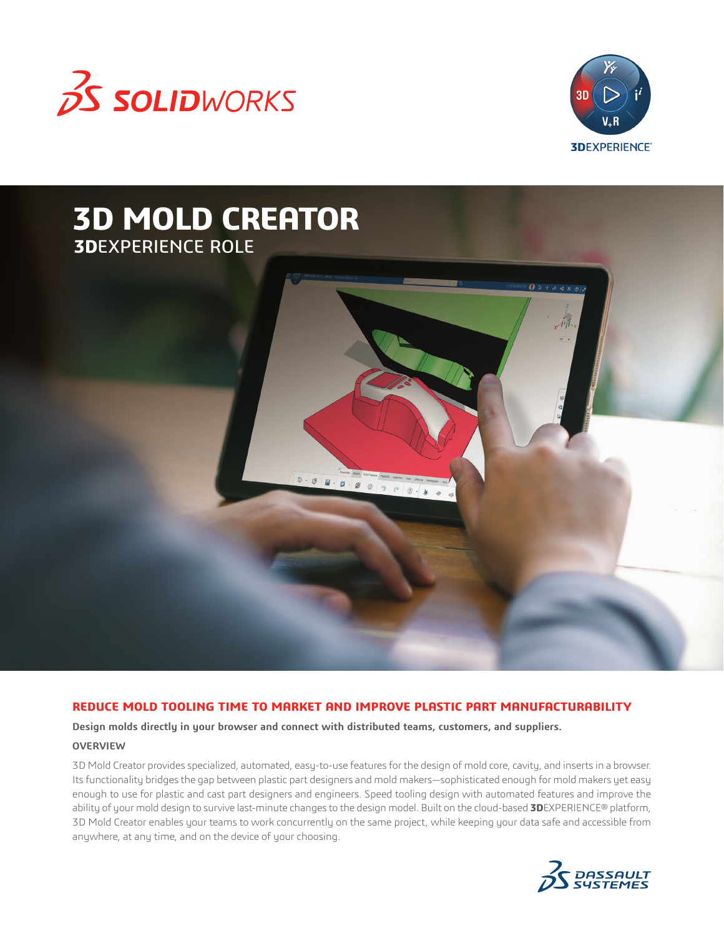



 $QQ+$ 

# **3D MOLD CREATOR 3D**EXPERIENCE ROLE

# **REDUCE MOLD TOOLING TIME TO MARKET AND IMPROVE PLASTIC PART MANUFACTURABILITY**

 $C\left(0\right)$ 

**Design molds directly in your browser and connect with distributed teams, customers, and suppliers.**

#### **OVERVIEW**

3D Mold Creator provides specialized, automated, easy-to-use features for the design of mold core, cavity, and inserts in a browser. Its functionality bridges the gap between plastic part designers and mold makers—sophisticated enough for mold makers yet easy enough to use for plastic and cast part designers and engineers. Speed tooling design with automated features and improve the ability of your mold design to survive last-minute changes to the design model. Built on the cloud-based **3D**EXPERIENCE® platform, 3D Mold Creator enables your teams to work concurrently on the same project, while keeping your data safe and accessible from anywhere, at any time, and on the device of your choosing.